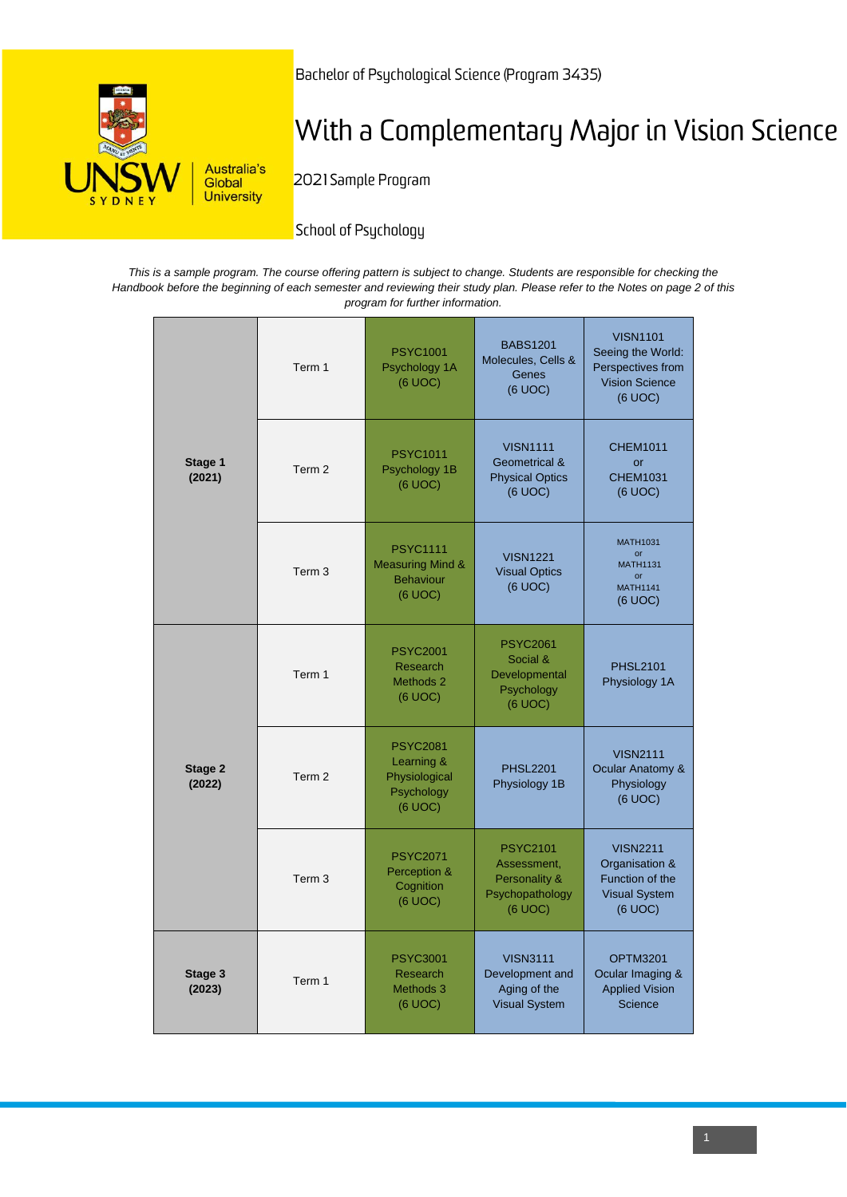

Bachelor of Psychological Science (Program 3435)

# With a Complementary Major in Vision Science

2021 Sample Program

School of Psychology

*This is a sample program. The course offering pattern is subject to change. Students are responsible for checking the Handbook before the beginning of each semester and reviewing their study plan. Please refer to the Notes on page 2 of this program for further information.*

| Stage 1<br>(2021) | Term 1            | <b>PSYC1001</b><br>Psychology 1A<br>(6 UOC)                                   | <b>BABS1201</b><br>Molecules, Cells &<br>Genes<br>(6 UOC)                        | <b>VISN1101</b><br>Seeing the World:<br>Perspectives from<br><b>Vision Science</b><br>(6 UOC) |
|-------------------|-------------------|-------------------------------------------------------------------------------|----------------------------------------------------------------------------------|-----------------------------------------------------------------------------------------------|
|                   | Term 2            | <b>PSYC1011</b><br>Psychology 1B<br>(6 UOC)                                   | <b>VISN1111</b><br><b>Geometrical &amp;</b><br><b>Physical Optics</b><br>(6 UOC) | <b>CHEM1011</b><br><b>or</b><br><b>CHEM1031</b><br>(6 UOC)                                    |
|                   | Term <sub>3</sub> | <b>PSYC1111</b><br><b>Measuring Mind &amp;</b><br><b>Behaviour</b><br>(6 UOC) | <b>VISN1221</b><br><b>Visual Optics</b><br>(6 UOC)                               | <b>MATH1031</b><br>or<br><b>MATH1131</b><br>$\alpha$<br><b>MATH1141</b><br>(6 UOC)            |
| Stage 2<br>(2022) | Term 1            | <b>PSYC2001</b><br>Research<br>Methods 2<br>(6 UOC)                           | <b>PSYC2061</b><br>Social &<br>Developmental<br>Psychology<br>(6 UOC)            | <b>PHSL2101</b><br>Physiology 1A                                                              |
|                   | Term <sub>2</sub> | <b>PSYC2081</b><br>Learning &<br>Physiological<br>Psychology<br>(6 UOC)       | <b>PHSL2201</b><br>Physiology 1B                                                 | <b>VISN2111</b><br>Ocular Anatomy &<br>Physiology<br>(6 UOC)                                  |
|                   | Term <sub>3</sub> | <b>PSYC2071</b><br>Perception &<br>Cognition<br>(6 UOC)                       | <b>PSYC2101</b><br>Assessment,<br>Personality &<br>Psychopathology<br>(6 UOC)    | <b>VISN2211</b><br>Organisation &<br>Function of the<br><b>Visual System</b><br>(6 UOC)       |
| Stage 3<br>(2023) | Term 1            | <b>PSYC3001</b><br>Research<br>Methods 3<br>(6 UOC)                           | <b>VISN3111</b><br>Development and<br>Aging of the<br><b>Visual System</b>       | <b>OPTM3201</b><br>Ocular Imaging &<br><b>Applied Vision</b><br>Science                       |